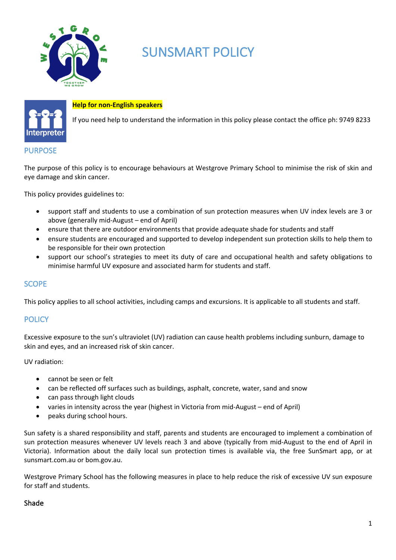

# SUNSMART POLICY



#### **Help for non-English speakers**

If you need help to understand the information in this policy please contact the office ph: 9749 8233

#### PURPOSE

The purpose of this policy is to encourage behaviours at Westgrove Primary School to minimise the risk of skin and eye damage and skin cancer.

This policy provides guidelines to:

- support staff and students to use a combination of sun protection measures when UV index levels are 3 or above (generally mid-August – end of April)
- ensure that there are outdoor environments that provide adequate shade for students and staff
- ensure students are encouraged and supported to develop independent sun protection skills to help them to be responsible for their own protection
- support our school's strategies to meet its duty of care and occupational health and safety obligations to minimise harmful UV exposure and associated harm for students and staff.

#### **SCOPE**

This policy applies to all school activities, including camps and excursions. It is applicable to all students and staff.

# **POLICY**

Excessive exposure to the sun's ultraviolet (UV) radiation can cause health problems including sunburn, damage to skin and eyes, and an increased risk of skin cancer.

UV radiation:

- cannot be seen or felt
- can be reflected off surfaces such as buildings, asphalt, concrete, water, sand and snow
- can pass through light clouds
- varies in intensity across the year (highest in Victoria from mid-August end of April)
- peaks during school hours.

Sun safety is a shared responsibility and staff, parents and students are encouraged to implement a combination of sun protection measures whenever UV levels reach 3 and above (typically from mid-August to the end of April in Victoria). Information about the daily local sun protection times is available via, the free SunSmart app, or at sunsmart.com.au or bom.gov.au.

Westgrove Primary School has the following measures in place to help reduce the risk of excessive UV sun exposure for staff and students.

#### Shade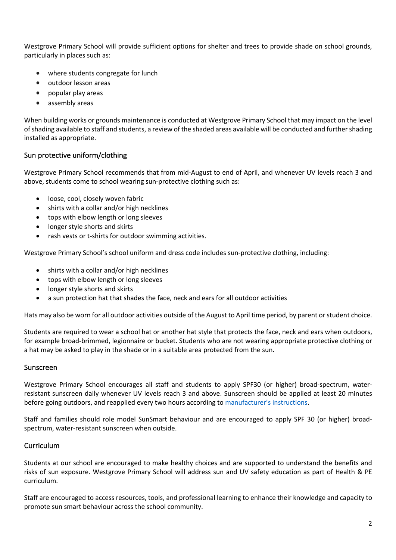Westgrove Primary School will provide sufficient options for shelter and trees to provide shade on school grounds, particularly in places such as:

- where students congregate for lunch
- outdoor lesson areas
- popular play areas
- assembly areas

When building works or grounds maintenance is conducted at Westgrove Primary School that may impact on the level of shading available to staff and students, a review of the shaded areas available will be conducted and further shading installed as appropriate.

## Sun protective uniform/clothing

Westgrove Primary School recommends that from mid-August to end of April, and whenever UV levels reach 3 and above, students come to school wearing sun-protective clothing such as:

- loose, cool, closely woven fabric
- shirts with a collar and/or high necklines
- tops with elbow length or long sleeves
- longer style shorts and skirts
- rash vests or t-shirts for outdoor swimming activities.

Westgrove Primary School's school uniform and dress code includes sun-protective clothing, including:

- shirts with a collar and/or high necklines
- tops with elbow length or long sleeves
- longer style shorts and skirts
- a sun protection hat that shades the face, neck and ears for all outdoor activities

Hats may also be worn for all outdoor activities outside of the August to April time period, by parent or student choice.

Students are required to wear a school hat or another hat style that protects the face, neck and ears when outdoors, for example broad-brimmed, legionnaire or bucket. Students who are not wearing appropriate protective clothing or a hat may be asked to play in the shade or in a suitable area protected from the sun.

#### Sunscreen

Westgrove Primary School encourages all staff and students to apply SPF30 (or higher) broad-spectrum, waterresistant sunscreen daily whenever UV levels reach 3 and above. Sunscreen should be applied at least 20 minutes before going outdoors, and reapplied every two hours according to manufacturer's instructions.

Staff and families should role model SunSmart behaviour and are encouraged to apply SPF 30 (or higher) broadspectrum, water-resistant sunscreen when outside.

#### **Curriculum**

Students at our school are encouraged to make healthy choices and are supported to understand the benefits and risks of sun exposure. Westgrove Primary School will address sun and UV safety education as part of Health & PE curriculum.

Staff are encouraged to access resources, tools, and professional learning to enhance their knowledge and capacity to promote sun smart behaviour across the school community.